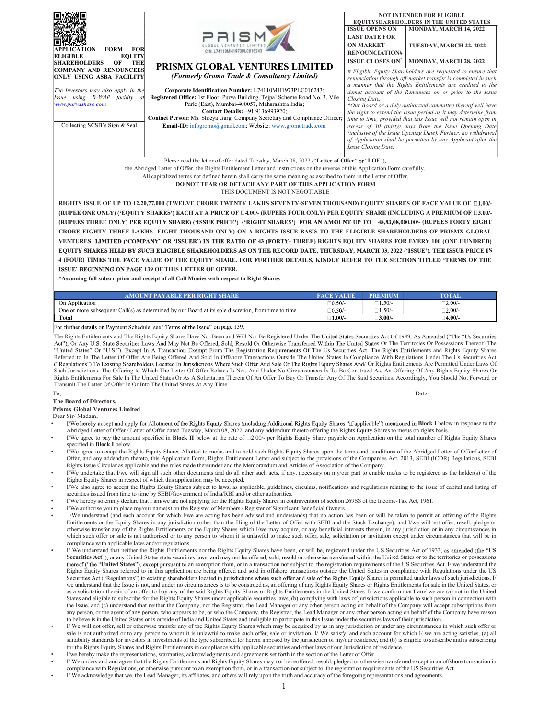|                                                                                            |                                                                                                                                                                                                                                                                                                                                                                                                                                                                                                                                                                                                                                                                                                                                                                                                                                                                                                             |                                                        | <b>NOT INTENDED FOR ELIGIBLE</b><br><b>EQUITYSHAREHOLDERS IN THE UNITED STATES</b>                                              |
|--------------------------------------------------------------------------------------------|-------------------------------------------------------------------------------------------------------------------------------------------------------------------------------------------------------------------------------------------------------------------------------------------------------------------------------------------------------------------------------------------------------------------------------------------------------------------------------------------------------------------------------------------------------------------------------------------------------------------------------------------------------------------------------------------------------------------------------------------------------------------------------------------------------------------------------------------------------------------------------------------------------------|--------------------------------------------------------|---------------------------------------------------------------------------------------------------------------------------------|
|                                                                                            |                                                                                                                                                                                                                                                                                                                                                                                                                                                                                                                                                                                                                                                                                                                                                                                                                                                                                                             | <b>ISSUE OPENS ON</b><br><b>LAST DATE FOR</b>          | MONDAY, MARCH 14, 2022                                                                                                          |
| <b>FORM FOR</b><br>APPLICATION                                                             | CIN: L74110MH1973PLC016243                                                                                                                                                                                                                                                                                                                                                                                                                                                                                                                                                                                                                                                                                                                                                                                                                                                                                  | <b>ON MARKET</b><br><b>RENOUNCIATION#</b>              | TUESDAY, MARCH 22, 2022                                                                                                         |
| ELIGIBLE<br><b>EQUITY</b><br><b>SHAREHOLDERS OF</b><br>THE                                 | PRISMX GLOBAL VENTURES LIMITED                                                                                                                                                                                                                                                                                                                                                                                                                                                                                                                                                                                                                                                                                                                                                                                                                                                                              | <b>ISSUE CLOSES ON</b>                                 | MONDAY, MARCH 28, 2022                                                                                                          |
| COMPANY AND RENOUNCEES<br>ONLY USING ASBA FACILITY                                         | (Formerly Gromo Trade & Consultancy Limited)                                                                                                                                                                                                                                                                                                                                                                                                                                                                                                                                                                                                                                                                                                                                                                                                                                                                |                                                        | # Eligible Equity Shareholders are requested to ensure that<br>renunciation through off-market transfer is completed in such    |
| The Investors may also apply in the                                                        | Corporate Identification Number: L74110MH1973PLC016243;                                                                                                                                                                                                                                                                                                                                                                                                                                                                                                                                                                                                                                                                                                                                                                                                                                                     |                                                        | a manner that the Rights Entitlements are credited to the<br>demat account of the Renounces on or prior to the Issue            |
| Issue using R-WAP facility at<br>www.purvashare.com                                        | Registered Office: 1st Floor, Purva Building, Tejpal Scheme Road No. 3, Vile<br>Parle (East), Mumbai-400057, Maharashtra India;                                                                                                                                                                                                                                                                                                                                                                                                                                                                                                                                                                                                                                                                                                                                                                             | Closing Date.                                          | *Our Board or a duly authorized committee thereof will have                                                                     |
|                                                                                            | Contact Details: +91 9136993920;<br>Contact Person: Ms. Shreya Garg, Company Secretary and Compliance Officer;                                                                                                                                                                                                                                                                                                                                                                                                                                                                                                                                                                                                                                                                                                                                                                                              |                                                        | the right to extend the Issue period as it may determine from<br>time to time, provided that this Issue will not remain open in |
| Collecting SCSB's Sign & Seal                                                              | Email-ID: infogromo@gmail.com; Website: www.gromotrade.com                                                                                                                                                                                                                                                                                                                                                                                                                                                                                                                                                                                                                                                                                                                                                                                                                                                  |                                                        | excess of 30 (thirty) days from the Issue Opening Date<br>(inclusive of the Issue Opening Date). Further, no withdrawal         |
|                                                                                            |                                                                                                                                                                                                                                                                                                                                                                                                                                                                                                                                                                                                                                                                                                                                                                                                                                                                                                             | Issue Closing Date.                                    | of Application shall be permitted by any Applicant after the                                                                    |
|                                                                                            | Please read the letter of offer dated Tuesday, March 08, 2022 ("Letter of Offer" or "LOF"),                                                                                                                                                                                                                                                                                                                                                                                                                                                                                                                                                                                                                                                                                                                                                                                                                 |                                                        |                                                                                                                                 |
|                                                                                            | the Abridged Letter of Offer, the Rights Entitlement Letter and instructions on the reverse of this Application Form carefully.                                                                                                                                                                                                                                                                                                                                                                                                                                                                                                                                                                                                                                                                                                                                                                             |                                                        |                                                                                                                                 |
|                                                                                            | All capitalized terms not defined herein shall carry the same meaning as ascribed to them in the Letter of Offer.<br>DO NOT TEAR OR DETACH ANY PART OF THIS APPLICATION FORM                                                                                                                                                                                                                                                                                                                                                                                                                                                                                                                                                                                                                                                                                                                                |                                                        |                                                                                                                                 |
|                                                                                            | THIS DOCUMENT IS NOT NEGOTIABLE                                                                                                                                                                                                                                                                                                                                                                                                                                                                                                                                                                                                                                                                                                                                                                                                                                                                             |                                                        |                                                                                                                                 |
|                                                                                            | RIGHTS ISSUE OF UP TO 12,20,77,000 (TWELVE CRORE TWENTY LAKHS SEVENTY-SEVEN THOUSAND) EQUITY SHARES OF FACE VALUE OF 01,00/-<br>(RUPEE ONE ONLY) ('EQUITY SHARES') EACH AT A PRICE OF [14,00/- (RUPEES FOUR ONLY) PER EQUITY SHARE (INCLUDING A PREMIUM OF [13,00/-                                                                                                                                                                                                                                                                                                                                                                                                                                                                                                                                                                                                                                         |                                                        |                                                                                                                                 |
|                                                                                            | (RUPEES THREE ONLY) PER EQUITY SHARE) ('ISSUE PRICE') ('RIGHT SHARES') FOR AN AMOUNT UP TO □48,83,08,000.00/- (RUPEES FORTY EIGHT                                                                                                                                                                                                                                                                                                                                                                                                                                                                                                                                                                                                                                                                                                                                                                           |                                                        |                                                                                                                                 |
|                                                                                            | CRORE EIGHTY THREE LAKHS EIGHT THOUSAND ONLY) ON A RIGHTS ISSUE BASIS TO THE ELIGIBLE SHAREHOLDERS OF PRISMX GLOBAL                                                                                                                                                                                                                                                                                                                                                                                                                                                                                                                                                                                                                                                                                                                                                                                         |                                                        |                                                                                                                                 |
|                                                                                            | VENTURES LIMITED ('COMPANY' OR 'ISSUER') IN THE RATIO OF 43 (FORTY- THREE) RIGHTS EQUITY SHARES FOR EVERY 100 (ONE HUNDRED)<br>EQUITY SHARES HELD BY SUCH ELIGIBLE SHAREHOLDERS AS ON THE RECORD DATE, THURSDAY, MARCH 03, 2022 ('ISSUE'). THE ISSUE PRICE IS                                                                                                                                                                                                                                                                                                                                                                                                                                                                                                                                                                                                                                               |                                                        |                                                                                                                                 |
|                                                                                            | 4 (FOUR) TIMES THE FACE VALUE OF THE EQUITY SHARE. FOR FURTHER DETAILS, KINDLY REFER TO THE SECTION TITLED 'TERMS OF THE                                                                                                                                                                                                                                                                                                                                                                                                                                                                                                                                                                                                                                                                                                                                                                                    |                                                        |                                                                                                                                 |
|                                                                                            | ISSUE' BEGINNING ON PAGE 139 OF THIS LETTER OF OFFER.<br>*Assuming full subscription and receipt of all Call Monies with respect to Right Shares                                                                                                                                                                                                                                                                                                                                                                                                                                                                                                                                                                                                                                                                                                                                                            |                                                        |                                                                                                                                 |
|                                                                                            |                                                                                                                                                                                                                                                                                                                                                                                                                                                                                                                                                                                                                                                                                                                                                                                                                                                                                                             |                                                        |                                                                                                                                 |
| On Application                                                                             | <b>AMOUNT PAYABLE PER RIGHT SHARE</b><br><b>FACE VALUE</b>                                                                                                                                                                                                                                                                                                                                                                                                                                                                                                                                                                                                                                                                                                                                                                                                                                                  | <b>PREMIUM</b><br>$10.50/-$<br>$\Box 1.50/-$           | <b>TOTAL</b><br>$\Box 2.00/-$                                                                                                   |
| Total                                                                                      | One or more subsequent Call(s) as determined by our Board at its sole discretion, from time to time                                                                                                                                                                                                                                                                                                                                                                                                                                                                                                                                                                                                                                                                                                                                                                                                         | $1.50/-$<br>$10.50/-$<br>$\Box 1.00/-$<br>$\Box 3.00/$ | $\Box 2.00/-$<br>$\square$ 4.00/-                                                                                               |
|                                                                                            | For further details on Payment Schedule, see "Terms of the Issue" on page 139.                                                                                                                                                                                                                                                                                                                                                                                                                                                                                                                                                                                                                                                                                                                                                                                                                              |                                                        |                                                                                                                                 |
| Transmit The Letter Of Offer In Or Into The United States At Any Time.                     | 'United States" Or "U.S."), Except In A Transaction Exempt From The Registration Requirements Of The Us Securities Act. The Rights Entitlements and Rights Equity Shares<br>Referred to In The Letter Of Offer Are Being Offered And Sold In Offshore Transactions Outside The United States In Compliance With Regulations Under The Us Securities Act<br>"Regulations") To Existing Shareholders Located In Jurisdictions Where Such Offer And Sale Of The Rights Equity Shares And/ Or Rights Entitlements Are Permitted Under Laws Of<br>Such Jurisdictions. The Offering to Which The Letter Of Offer Relates Is Not, And Under No Circumstances Is To Be Construed As, An Offering Of Any Rights Equity Shares Or<br>Rights Entitlements For Sale In The United States Or As A Solicitation Therein Of An Offer To Buy Or Transfer Any Of The Said Securities. Accordingly, You Should Not Forward or |                                                        |                                                                                                                                 |
|                                                                                            |                                                                                                                                                                                                                                                                                                                                                                                                                                                                                                                                                                                                                                                                                                                                                                                                                                                                                                             |                                                        |                                                                                                                                 |
|                                                                                            |                                                                                                                                                                                                                                                                                                                                                                                                                                                                                                                                                                                                                                                                                                                                                                                                                                                                                                             |                                                        | Date:                                                                                                                           |
|                                                                                            |                                                                                                                                                                                                                                                                                                                                                                                                                                                                                                                                                                                                                                                                                                                                                                                                                                                                                                             |                                                        |                                                                                                                                 |
|                                                                                            | I/We hereby accept and apply for Allotment of the Rights Equity Shares (including Additional Rights Equity Shares "if applicable") mentioned in <b>Block I</b> below in response to the                                                                                                                                                                                                                                                                                                                                                                                                                                                                                                                                                                                                                                                                                                                     |                                                        |                                                                                                                                 |
|                                                                                            | Abridged Letter of Offer / Letter of Offer dated Tuesday, March 08, 2022, and any addendum thereto offering the Rights Equity Shares to me/us on rights basis.<br>I/We agree to pay the amount specified in <b>Block II</b> below at the rate of $\square 2.00/-$ per Rights Equity Share payable on Application on the total number of Rights Equity Shares                                                                                                                                                                                                                                                                                                                                                                                                                                                                                                                                                |                                                        |                                                                                                                                 |
| specified in <b>Block</b> I below.                                                         | I/We agree to accept the Rights Equity Shares Allotted to me/us and to hold such Rights Equity Shares upon the terms and conditions of the Abridged Letter of Offer/Letter of                                                                                                                                                                                                                                                                                                                                                                                                                                                                                                                                                                                                                                                                                                                               |                                                        |                                                                                                                                 |
|                                                                                            | Offer, and any addendum thereto, this Application Form, Rights Entitlement Letter and subject to the provisions of the Companies Act, 2013, SEBI (ICDR) Regulations, SEBI<br>Rights Issue Circular as applicable and the rules made thereunder and the Memorandum and Articles of Association of the Company.                                                                                                                                                                                                                                                                                                                                                                                                                                                                                                                                                                                               |                                                        |                                                                                                                                 |
|                                                                                            | I/We undertake that I/we will sign all such other documents and do all other such acts, if any, necessary on my/our part to enable me/us to be registered as the holder(s) of the<br>Rights Equity Shares in respect of which this application may be accepted.                                                                                                                                                                                                                                                                                                                                                                                                                                                                                                                                                                                                                                             |                                                        |                                                                                                                                 |
|                                                                                            | I/We also agree to accept the Rights Equity Shares subject to laws, as applicable, guidelines, circulars, notifications and regulations relating to the issue of capital and listing of                                                                                                                                                                                                                                                                                                                                                                                                                                                                                                                                                                                                                                                                                                                     |                                                        |                                                                                                                                 |
|                                                                                            | securities issued from time to time by SEBI/Government of India/RBI and/or other authorities.<br>I/We hereby solemnly declare that I am/we are not applying for the Rights Equity Shares in contravention of section 269SS of the Income-Tax Act, 1961.                                                                                                                                                                                                                                                                                                                                                                                                                                                                                                                                                                                                                                                     |                                                        |                                                                                                                                 |
|                                                                                            | I/We authorise you to place my/our name(s) on the Register of Members / Register of Significant Beneficial Owners.<br>I/We understand (and each account for which I/we are acting has been advised and understands) that no action has been or will be taken to permit an offering of the Rights                                                                                                                                                                                                                                                                                                                                                                                                                                                                                                                                                                                                            |                                                        |                                                                                                                                 |
|                                                                                            | Entitlements or the Equity Shares in any jurisdiction (other than the filing of the Letter of Offer with SEBI and the Stock Exchange); and I/we will not offer, resell, pledge or<br>otherwise transfer any of the Rights Entitlements or the Equity Shares which I/we may acquire, or any beneficial interests therein, in any jurisdiction or in any circumstances in                                                                                                                                                                                                                                                                                                                                                                                                                                                                                                                                     |                                                        |                                                                                                                                 |
|                                                                                            | which such offer or sale is not authorised or to any person to whom it is unlawful to make such offer, sale, solicitation or invitation except under circumstances that will be in                                                                                                                                                                                                                                                                                                                                                                                                                                                                                                                                                                                                                                                                                                                          |                                                        |                                                                                                                                 |
| compliance with applicable laws and/or regulations.                                        | I/ We understand that neither the Rights Entitlements nor the Rights Equity Shares have been, or will be, registered under the US Securities Act of 1933, as amended (the "US                                                                                                                                                                                                                                                                                                                                                                                                                                                                                                                                                                                                                                                                                                                               |                                                        |                                                                                                                                 |
|                                                                                            | Securities Act"), or any United States state securities laws, and may not be offered, sold, resold or otherwise transferred within the United States or to the territories or possessions<br>thereof ("the "United States"), except pursuant to an exemption from, or in a transaction not subject to, the registration requirements of the US Securities Act. I/ we understand the                                                                                                                                                                                                                                                                                                                                                                                                                                                                                                                         |                                                        |                                                                                                                                 |
|                                                                                            | Rights Equity Shares referred to in this application are being offered and sold in offshore transactions outside the United States in compliance with Regulations under the US<br>Securities Act ("Regulations") to existing shareholders located in jurisdictions where such offer and sale of the Rights Equity Shares is permitted under laws of such jurisdictions. I/                                                                                                                                                                                                                                                                                                                                                                                                                                                                                                                                  |                                                        |                                                                                                                                 |
|                                                                                            | we understand that the Issue is not, and under no circumstances is to be construed as, an offering of any Rights Equity Shares or Rights Entitlements for sale in the United States, or                                                                                                                                                                                                                                                                                                                                                                                                                                                                                                                                                                                                                                                                                                                     |                                                        |                                                                                                                                 |
|                                                                                            | as a solicitation therein of an offer to buy any of the said Rights Equity Shares or Rights Entitlements in the United States. I/ we confirm that I am/ we are (a) not in the United<br>States and eligible to subscribe for the Rights Equity Shares under applicable securities laws, (b) complying with laws of jurisdictions applicable to such person in connection with                                                                                                                                                                                                                                                                                                                                                                                                                                                                                                                               |                                                        |                                                                                                                                 |
|                                                                                            | the Issue, and (c) understand that neither the Company, nor the Registrar, the Lead Manager or any other person acting on behalf of the Company will accept subscriptions from<br>any person, or the agent of any person, who appears to be, or who the Company, the Registrar, the Lead Manager or any other person acting on behalf of the Company have reason                                                                                                                                                                                                                                                                                                                                                                                                                                                                                                                                            |                                                        |                                                                                                                                 |
|                                                                                            | to believe is in the United States or is outside of India and United States and ineligible to participate in this Issue under the securities laws of their jurisdiction.<br>I/ We will not offer, sell or otherwise transfer any of the Rights Equity Shares which may be acquired by us in any jurisdiction or under any circumstances in which such offer or                                                                                                                                                                                                                                                                                                                                                                                                                                                                                                                                              |                                                        |                                                                                                                                 |
|                                                                                            | sale is not authorized or to any person to whom it is unlawful to make such offer, sale or invitation. I/ We satisfy, and each account for which I/ we are acting satisfies, (a) all                                                                                                                                                                                                                                                                                                                                                                                                                                                                                                                                                                                                                                                                                                                        |                                                        |                                                                                                                                 |
|                                                                                            | suitability standards for investors in investments of the type subscribed for herein imposed by the jurisdiction of my/our residence, and (b) is eligible to subscribe and is subscribing<br>for the Rights Equity Shares and Rights Entitlements in compliance with applicable securities and other laws of our Jurisdiction of residence.                                                                                                                                                                                                                                                                                                                                                                                                                                                                                                                                                                 |                                                        |                                                                                                                                 |
| To,<br>The Board of Directors,<br><b>Prismx Global Ventures Limited</b><br>Dear Sir/Madam, | I/we hereby make the representations, warranties, acknowledgments and agreements set forth in the section of the Letter of Offer.<br>I/We understand and agree that the Rights Entitlements and Rights Equity Shares may not be reoffered, resold, pledged or otherwise transferred except in an offshore transaction in<br>compliance with Regulations, or otherwise pursuant to an exemption from, or in a transaction not subject to, the registration requirements of the US Securities Act.                                                                                                                                                                                                                                                                                                                                                                                                            |                                                        |                                                                                                                                 |

 $\bullet$ I/ We acknowledge that we, the Lead Manager, its affiliates, and others will rely upon the truth and accuracy of the foregoing representations and agreements.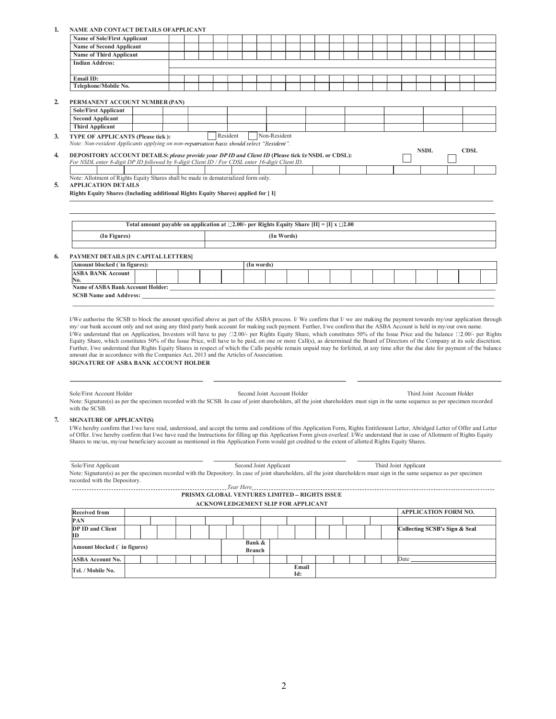## 1. NAME AND CONTACT DETAILS OFAPPLICANT

| <b>Name of Sole/First Applicant</b><br><b>Name of Second Applicant</b><br><b>Name of Third Applicant</b><br><b>Indian Address:</b><br>Email ID:<br>Telephone/Mobile No.<br>$\overline{2}$<br>PERMANENT ACCOUNT NUMBER (PAN)<br><b>Sole/First Applicant</b><br><b>Second Applicant</b><br><b>Third Applicant</b><br>Resident<br>Non-Resident<br>TYPE OF APPLICANTS (Please tick):<br>3 <sub>l</sub><br>Note: Non-resident Applicants applying on non-repatriation basis should select "Resident".<br><b>NSDL</b><br><b>CDSL</b><br>DEPOSITORY ACCOUNT DETAILS: please provide your DP ID and Client ID (Please tick for NSDL or CDSL):<br>$\overline{4}$<br>For NSDL enter 8-digit DP ID followed by 8-digit Client ID / For CDSL enter 16-digit Client ID.<br>Note: Allotment of Rights Equity Shares shall be made in dematerialized form only.<br>5.<br><b>APPLICATION DETAILS</b><br>Rights Equity Shares (Including additional Rights Equity Shares) applied for [ I]<br>Total amount payable on application at $\Box 2.00/$ - per Rights Equity Share [II] = [I] x $\Box 2.00$<br>(In Words)<br>(In Figures)<br>PAYMENT DETAILS JIN CAPITAL LETTERS]<br>6.<br>Amount blocked ('in figures):<br>(In words)<br><b>ASBA BANK Account</b><br>No.<br><b>SCSB Name and Address:</b><br>my/ our bank account only and not using any third party bank account for making such payment. Further, I/we confirm that the ASBA Account is held in my/our own name.<br>amount due in accordance with the Companies Act, 2013 and the Articles of Association.<br>SIGNATURE OF ASBA BANK ACCOUNT HOLDER<br>Second Joint Account Holder<br>Third Joint Account Holder<br>Sole/First Account Holder<br>Note: Signature(s) as per the specimen recorded with the SCSB. In case of joint shareholders, all the joint shareholders must sign in the same sequence as per specimen recorded<br>with the SCSB.<br>7.<br><b>SIGNATURE OF APPLICANT(S)</b><br>of Offer. I/we hereby confirm that I/we have read the Instructions for filling up this Application Form given overleaf. I/We understand that in case of Allotment of Rights Equity<br>Shares to me/us, my/our beneficiary account as mentioned in this Application Form would get credited to the extent of allotted Rights Equity Shares. | VAME AND CONTACT DETAILS OFAPPLICAN. |  |  |  |  |  |  |  |  |  |  |
|----------------------------------------------------------------------------------------------------------------------------------------------------------------------------------------------------------------------------------------------------------------------------------------------------------------------------------------------------------------------------------------------------------------------------------------------------------------------------------------------------------------------------------------------------------------------------------------------------------------------------------------------------------------------------------------------------------------------------------------------------------------------------------------------------------------------------------------------------------------------------------------------------------------------------------------------------------------------------------------------------------------------------------------------------------------------------------------------------------------------------------------------------------------------------------------------------------------------------------------------------------------------------------------------------------------------------------------------------------------------------------------------------------------------------------------------------------------------------------------------------------------------------------------------------------------------------------------------------------------------------------------------------------------------------------------------------------------------------------------------------------------------------------------------------------------------------------------------------------------------------------------------------------------------------------------------------------------------------------------------------------------------------------------------------------------------------------------------------------------------------------------------------------------------------------------------------------------------------------------------------------------------------------------|--------------------------------------|--|--|--|--|--|--|--|--|--|--|
|                                                                                                                                                                                                                                                                                                                                                                                                                                                                                                                                                                                                                                                                                                                                                                                                                                                                                                                                                                                                                                                                                                                                                                                                                                                                                                                                                                                                                                                                                                                                                                                                                                                                                                                                                                                                                                                                                                                                                                                                                                                                                                                                                                                                                                                                                        |                                      |  |  |  |  |  |  |  |  |  |  |
|                                                                                                                                                                                                                                                                                                                                                                                                                                                                                                                                                                                                                                                                                                                                                                                                                                                                                                                                                                                                                                                                                                                                                                                                                                                                                                                                                                                                                                                                                                                                                                                                                                                                                                                                                                                                                                                                                                                                                                                                                                                                                                                                                                                                                                                                                        |                                      |  |  |  |  |  |  |  |  |  |  |
|                                                                                                                                                                                                                                                                                                                                                                                                                                                                                                                                                                                                                                                                                                                                                                                                                                                                                                                                                                                                                                                                                                                                                                                                                                                                                                                                                                                                                                                                                                                                                                                                                                                                                                                                                                                                                                                                                                                                                                                                                                                                                                                                                                                                                                                                                        |                                      |  |  |  |  |  |  |  |  |  |  |
|                                                                                                                                                                                                                                                                                                                                                                                                                                                                                                                                                                                                                                                                                                                                                                                                                                                                                                                                                                                                                                                                                                                                                                                                                                                                                                                                                                                                                                                                                                                                                                                                                                                                                                                                                                                                                                                                                                                                                                                                                                                                                                                                                                                                                                                                                        |                                      |  |  |  |  |  |  |  |  |  |  |
|                                                                                                                                                                                                                                                                                                                                                                                                                                                                                                                                                                                                                                                                                                                                                                                                                                                                                                                                                                                                                                                                                                                                                                                                                                                                                                                                                                                                                                                                                                                                                                                                                                                                                                                                                                                                                                                                                                                                                                                                                                                                                                                                                                                                                                                                                        |                                      |  |  |  |  |  |  |  |  |  |  |
| I/We hereby confirm that I/we have read, understood, and accept the terms and conditions of this Application Form, Rights Entitlement Letter, Abridged Letter of Offer and Letter                                                                                                                                                                                                                                                                                                                                                                                                                                                                                                                                                                                                                                                                                                                                                                                                                                                                                                                                                                                                                                                                                                                                                                                                                                                                                                                                                                                                                                                                                                                                                                                                                                                                                                                                                                                                                                                                                                                                                                                                                                                                                                      |                                      |  |  |  |  |  |  |  |  |  |  |
|                                                                                                                                                                                                                                                                                                                                                                                                                                                                                                                                                                                                                                                                                                                                                                                                                                                                                                                                                                                                                                                                                                                                                                                                                                                                                                                                                                                                                                                                                                                                                                                                                                                                                                                                                                                                                                                                                                                                                                                                                                                                                                                                                                                                                                                                                        |                                      |  |  |  |  |  |  |  |  |  |  |
|                                                                                                                                                                                                                                                                                                                                                                                                                                                                                                                                                                                                                                                                                                                                                                                                                                                                                                                                                                                                                                                                                                                                                                                                                                                                                                                                                                                                                                                                                                                                                                                                                                                                                                                                                                                                                                                                                                                                                                                                                                                                                                                                                                                                                                                                                        |                                      |  |  |  |  |  |  |  |  |  |  |
|                                                                                                                                                                                                                                                                                                                                                                                                                                                                                                                                                                                                                                                                                                                                                                                                                                                                                                                                                                                                                                                                                                                                                                                                                                                                                                                                                                                                                                                                                                                                                                                                                                                                                                                                                                                                                                                                                                                                                                                                                                                                                                                                                                                                                                                                                        |                                      |  |  |  |  |  |  |  |  |  |  |
|                                                                                                                                                                                                                                                                                                                                                                                                                                                                                                                                                                                                                                                                                                                                                                                                                                                                                                                                                                                                                                                                                                                                                                                                                                                                                                                                                                                                                                                                                                                                                                                                                                                                                                                                                                                                                                                                                                                                                                                                                                                                                                                                                                                                                                                                                        |                                      |  |  |  |  |  |  |  |  |  |  |
|                                                                                                                                                                                                                                                                                                                                                                                                                                                                                                                                                                                                                                                                                                                                                                                                                                                                                                                                                                                                                                                                                                                                                                                                                                                                                                                                                                                                                                                                                                                                                                                                                                                                                                                                                                                                                                                                                                                                                                                                                                                                                                                                                                                                                                                                                        |                                      |  |  |  |  |  |  |  |  |  |  |
|                                                                                                                                                                                                                                                                                                                                                                                                                                                                                                                                                                                                                                                                                                                                                                                                                                                                                                                                                                                                                                                                                                                                                                                                                                                                                                                                                                                                                                                                                                                                                                                                                                                                                                                                                                                                                                                                                                                                                                                                                                                                                                                                                                                                                                                                                        |                                      |  |  |  |  |  |  |  |  |  |  |
|                                                                                                                                                                                                                                                                                                                                                                                                                                                                                                                                                                                                                                                                                                                                                                                                                                                                                                                                                                                                                                                                                                                                                                                                                                                                                                                                                                                                                                                                                                                                                                                                                                                                                                                                                                                                                                                                                                                                                                                                                                                                                                                                                                                                                                                                                        |                                      |  |  |  |  |  |  |  |  |  |  |
|                                                                                                                                                                                                                                                                                                                                                                                                                                                                                                                                                                                                                                                                                                                                                                                                                                                                                                                                                                                                                                                                                                                                                                                                                                                                                                                                                                                                                                                                                                                                                                                                                                                                                                                                                                                                                                                                                                                                                                                                                                                                                                                                                                                                                                                                                        |                                      |  |  |  |  |  |  |  |  |  |  |
|                                                                                                                                                                                                                                                                                                                                                                                                                                                                                                                                                                                                                                                                                                                                                                                                                                                                                                                                                                                                                                                                                                                                                                                                                                                                                                                                                                                                                                                                                                                                                                                                                                                                                                                                                                                                                                                                                                                                                                                                                                                                                                                                                                                                                                                                                        |                                      |  |  |  |  |  |  |  |  |  |  |
|                                                                                                                                                                                                                                                                                                                                                                                                                                                                                                                                                                                                                                                                                                                                                                                                                                                                                                                                                                                                                                                                                                                                                                                                                                                                                                                                                                                                                                                                                                                                                                                                                                                                                                                                                                                                                                                                                                                                                                                                                                                                                                                                                                                                                                                                                        |                                      |  |  |  |  |  |  |  |  |  |  |
|                                                                                                                                                                                                                                                                                                                                                                                                                                                                                                                                                                                                                                                                                                                                                                                                                                                                                                                                                                                                                                                                                                                                                                                                                                                                                                                                                                                                                                                                                                                                                                                                                                                                                                                                                                                                                                                                                                                                                                                                                                                                                                                                                                                                                                                                                        |                                      |  |  |  |  |  |  |  |  |  |  |
|                                                                                                                                                                                                                                                                                                                                                                                                                                                                                                                                                                                                                                                                                                                                                                                                                                                                                                                                                                                                                                                                                                                                                                                                                                                                                                                                                                                                                                                                                                                                                                                                                                                                                                                                                                                                                                                                                                                                                                                                                                                                                                                                                                                                                                                                                        |                                      |  |  |  |  |  |  |  |  |  |  |
|                                                                                                                                                                                                                                                                                                                                                                                                                                                                                                                                                                                                                                                                                                                                                                                                                                                                                                                                                                                                                                                                                                                                                                                                                                                                                                                                                                                                                                                                                                                                                                                                                                                                                                                                                                                                                                                                                                                                                                                                                                                                                                                                                                                                                                                                                        |                                      |  |  |  |  |  |  |  |  |  |  |
|                                                                                                                                                                                                                                                                                                                                                                                                                                                                                                                                                                                                                                                                                                                                                                                                                                                                                                                                                                                                                                                                                                                                                                                                                                                                                                                                                                                                                                                                                                                                                                                                                                                                                                                                                                                                                                                                                                                                                                                                                                                                                                                                                                                                                                                                                        |                                      |  |  |  |  |  |  |  |  |  |  |
|                                                                                                                                                                                                                                                                                                                                                                                                                                                                                                                                                                                                                                                                                                                                                                                                                                                                                                                                                                                                                                                                                                                                                                                                                                                                                                                                                                                                                                                                                                                                                                                                                                                                                                                                                                                                                                                                                                                                                                                                                                                                                                                                                                                                                                                                                        |                                      |  |  |  |  |  |  |  |  |  |  |
|                                                                                                                                                                                                                                                                                                                                                                                                                                                                                                                                                                                                                                                                                                                                                                                                                                                                                                                                                                                                                                                                                                                                                                                                                                                                                                                                                                                                                                                                                                                                                                                                                                                                                                                                                                                                                                                                                                                                                                                                                                                                                                                                                                                                                                                                                        |                                      |  |  |  |  |  |  |  |  |  |  |
|                                                                                                                                                                                                                                                                                                                                                                                                                                                                                                                                                                                                                                                                                                                                                                                                                                                                                                                                                                                                                                                                                                                                                                                                                                                                                                                                                                                                                                                                                                                                                                                                                                                                                                                                                                                                                                                                                                                                                                                                                                                                                                                                                                                                                                                                                        |                                      |  |  |  |  |  |  |  |  |  |  |
|                                                                                                                                                                                                                                                                                                                                                                                                                                                                                                                                                                                                                                                                                                                                                                                                                                                                                                                                                                                                                                                                                                                                                                                                                                                                                                                                                                                                                                                                                                                                                                                                                                                                                                                                                                                                                                                                                                                                                                                                                                                                                                                                                                                                                                                                                        |                                      |  |  |  |  |  |  |  |  |  |  |
|                                                                                                                                                                                                                                                                                                                                                                                                                                                                                                                                                                                                                                                                                                                                                                                                                                                                                                                                                                                                                                                                                                                                                                                                                                                                                                                                                                                                                                                                                                                                                                                                                                                                                                                                                                                                                                                                                                                                                                                                                                                                                                                                                                                                                                                                                        |                                      |  |  |  |  |  |  |  |  |  |  |
|                                                                                                                                                                                                                                                                                                                                                                                                                                                                                                                                                                                                                                                                                                                                                                                                                                                                                                                                                                                                                                                                                                                                                                                                                                                                                                                                                                                                                                                                                                                                                                                                                                                                                                                                                                                                                                                                                                                                                                                                                                                                                                                                                                                                                                                                                        |                                      |  |  |  |  |  |  |  |  |  |  |
|                                                                                                                                                                                                                                                                                                                                                                                                                                                                                                                                                                                                                                                                                                                                                                                                                                                                                                                                                                                                                                                                                                                                                                                                                                                                                                                                                                                                                                                                                                                                                                                                                                                                                                                                                                                                                                                                                                                                                                                                                                                                                                                                                                                                                                                                                        |                                      |  |  |  |  |  |  |  |  |  |  |
| I/We authorise the SCSB to block the amount specified above as part of the ASBA process. I/We confirm that I/we are making the payment towards my/our application through<br>I/We understand that on Application, Investors will have to pay $\Box 2.00/-$ per Rights Equity Share, which constitutes 50% of the Issue Price and the balance $\Box 2.00/-$ per Rights<br>Equity Share, which constitutes 50% of the Issue Price, will have to be paid, on one or more Call(s), as determined the Board of Directors of the Company at its sole discretion.<br>Further, I/we understand that Rights Equity Shares in respect of which the Calls payable remain unpaid may be forfeited, at any time after the due date for payment of the balance                                                                                                                                                                                                                                                                                                                                                                                                                                                                                                                                                                                                                                                                                                                                                                                                                                                                                                                                                                                                                                                                                                                                                                                                                                                                                                                                                                                                                                                                                                                                       |                                      |  |  |  |  |  |  |  |  |  |  |
|                                                                                                                                                                                                                                                                                                                                                                                                                                                                                                                                                                                                                                                                                                                                                                                                                                                                                                                                                                                                                                                                                                                                                                                                                                                                                                                                                                                                                                                                                                                                                                                                                                                                                                                                                                                                                                                                                                                                                                                                                                                                                                                                                                                                                                                                                        |                                      |  |  |  |  |  |  |  |  |  |  |
|                                                                                                                                                                                                                                                                                                                                                                                                                                                                                                                                                                                                                                                                                                                                                                                                                                                                                                                                                                                                                                                                                                                                                                                                                                                                                                                                                                                                                                                                                                                                                                                                                                                                                                                                                                                                                                                                                                                                                                                                                                                                                                                                                                                                                                                                                        |                                      |  |  |  |  |  |  |  |  |  |  |
|                                                                                                                                                                                                                                                                                                                                                                                                                                                                                                                                                                                                                                                                                                                                                                                                                                                                                                                                                                                                                                                                                                                                                                                                                                                                                                                                                                                                                                                                                                                                                                                                                                                                                                                                                                                                                                                                                                                                                                                                                                                                                                                                                                                                                                                                                        |                                      |  |  |  |  |  |  |  |  |  |  |
|                                                                                                                                                                                                                                                                                                                                                                                                                                                                                                                                                                                                                                                                                                                                                                                                                                                                                                                                                                                                                                                                                                                                                                                                                                                                                                                                                                                                                                                                                                                                                                                                                                                                                                                                                                                                                                                                                                                                                                                                                                                                                                                                                                                                                                                                                        |                                      |  |  |  |  |  |  |  |  |  |  |
| Sole/First Applicant<br>Second Joint Applicant<br>Third Joint Applicant                                                                                                                                                                                                                                                                                                                                                                                                                                                                                                                                                                                                                                                                                                                                                                                                                                                                                                                                                                                                                                                                                                                                                                                                                                                                                                                                                                                                                                                                                                                                                                                                                                                                                                                                                                                                                                                                                                                                                                                                                                                                                                                                                                                                                |                                      |  |  |  |  |  |  |  |  |  |  |

Note: Signature(s) as per the specimen recorded with the Depository. In case of joint shareholders, all the joint shareholders must sign in the same sequence as per specimen recorded with the Depository.

Tear Here

PRISMX GLOBAL VENTURES LIMITED – RIGHTS ISSUE ACKNOWLEDGEMENT SLIP FOR APPLICANT

| <b>Received from</b>         |  |  |  |  |               |  |       |  |  |  | <b>APPLICATION FORM NO.</b>   |
|------------------------------|--|--|--|--|---------------|--|-------|--|--|--|-------------------------------|
| PAN                          |  |  |  |  |               |  |       |  |  |  |                               |
| <b>DP ID and Client</b>      |  |  |  |  |               |  |       |  |  |  | Collecting SCSB's Sign & Seal |
| ID                           |  |  |  |  |               |  |       |  |  |  |                               |
|                              |  |  |  |  | Bank &        |  |       |  |  |  |                               |
| Amount blocked (`in figures) |  |  |  |  | <b>Branch</b> |  |       |  |  |  |                               |
| <b>ASBA Account No.</b>      |  |  |  |  |               |  |       |  |  |  | Date                          |
| Tel. / Mobile No.            |  |  |  |  |               |  | Email |  |  |  |                               |
|                              |  |  |  |  |               |  | Id:   |  |  |  |                               |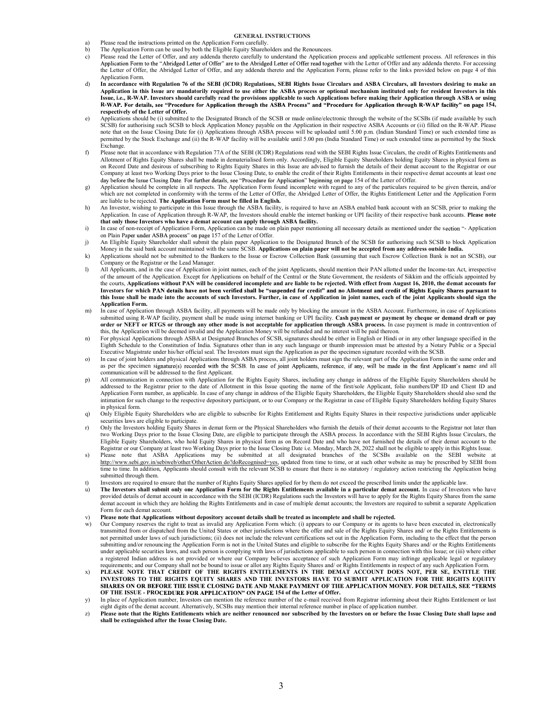## GENERAL INSTRUCTIONS

- a) Please read the instructions printed on the Application Form carefully.
- b) The Application Form can be used by both the Eligible Equity Shareholders and the Renouncees.
- c) Please read the Letter of Offer, and any addenda thereto carefully to understand the Application process and applicable settlement process. All references in this Application Form to the "Abridged Letter of Offer" are to the Abridged Letter of Offer read together with the Letter of Offer and any addenda thereto. For accessing the Letter of Offer, the Abridged Letter of Offer, and any addenda thereto and the Application Form, please refer to the links provided below on page 4 of this Application Form.
- d) In accordance with Regulation 76 of the SEBI (ICDR) Regulations, SEBI Rights Issue Circulars and ASBA Circulars, all Investors desiring to make an Application in this Issue are mandatorily required to use either the ASBA process or optional mechanism instituted only for resident Investors in this<br>Issue, i.e., R-WAP. Investors should carefully read the provisions appl R-WAP. For details, see "Procedure for Application through the ASBA Process" and "Procedure for Application through R-WAP facility" on page 154, respectively of the Letter of Offer.
- e) Applications should be (i) submitted to the Designated Branch of the SCSB or made online/electronic through the website of the SCSBs (if made available by such SCSB) for authorising such SCSB to block Application Money payable on the Application in their respective ASBA Accounts or (ii) filled on the R-WAP. Please<br>note that on the Issue Closing Date for (i) Applications through A permitted by the Stock Exchange and (ii) the R-WAP facility will be available until 5.00 pm (India Standard Time) or such extended time as permitted by the Stock Exchange.
- f) Please note that in accordance with Regulation 77A of the SEBI (ICDR) Regulations read with the SEBI Rights Issue Circulars, the credit of Rights Entitlements and Allotment of Rights Equity Shares shall be made in dematerialised form only. Accordingly, Eligible Equity Shareholders holding Equity Shares in physical form as on Record Date and desirous of subscribing to Rights Equity Shares in this Issue are advised to furnish the details of their demat account to the Registrar or our Company at least two Working Days prior to the Issue Closing Date, to enable the credit of their Rights Entitlements in their respective demat accounts at least one day before the Issue Closing Date. For further details, see "Procedure for Application" beginning on page 154 of the Letter of Offer.
- g) Application should be complete in all respects. The Application Form found incomplete with regard to any of the particulars required to be given therein, and/or which are not completed in conformity with the terms of the Letter of Offer, the Abridged Letter of Offer, the Rights Entitlement Letter and the Application Form are liable to be rejected. The Application Form must be filled in English.
- h) An Investor, wishing to participate in this Issue through the ASBA facility, is required to have an ASBA enabled bank account with an SCSB, prior to making the Application. In case of Application through R-WAP, the Investors should enable the internet banking or UPI facility of their respective bank accounts. Please note
- that only those Investors who have a demat account can apply through ASBA facility.<br>i) In case of non-receipt of Application Form, Application can be made on plain paper mentioning all necessary details as mentioned under on Plain Paper under ASBA process" on page 157 of the Letter of Offer.
- j) An Eligible Equity Shareholder shall submit the plain paper Application to the Designated Branch of the SCSB for authorising such SCSB to block Application Money in the said bank account maintained with the same SCSB. Applications on plain paper will not be accepted from any address outside India.
- k) Applications should not be submitted to the Bankers to the Issue or Escrow Collection Bank (assuming that such Escrow Collection Bank is not an SCSB), our Company or the Registrar or the Lead Manager.
- l) All Applicants, and in the case of Application in joint names, each of the joint Applicants, should mention their PAN allotted under the Income-tax Act, irrespective of the amount of the Application. Except for Applications on behalf of the Central or the State Government, the residents of Sikkim and the officials appointed by the courts, Applications without PAN will be considered incomplete and are liable to be rejected. With effect from August 16, 2010, the demat accounts for Investors for which PAN details have not been verified shall be "suspended for credit" and no Allotment and credit of Rights Equity Shares pursuant to<br>this Issue shall be made into the accounts of such Investors. Further, Application Form.
- m) In case of Application through ASBA facility, all payments will be made only by blocking the amount in the ASBA Account. Furthermore, in case of Applications submitted using R-WAP facility, payment shall be made using internet banking or UPI facility. Cash payment or payment by cheque or demand draft or pay order or NEFT or RTGS or through any other mode is not acceptable for application through ASBA process. In case payment is made in contravention of
- this, the Application will be deemed invalid and the Application Money will be refunded and no interest will be paid thereon.<br>
Tor physical Applications through ASBA at Designated Branches of SCSB, signatures should be eit Eighth Schedule to the Constitution of India. Signatures other than in any such language or thumb impression must be attested by a Notary Public or a Special Executive Magistrate under his/her official seal. The Investors must sign the Application as per the specimen signature recorded with the SCSB.
- o) In case of joint holders and physical Applications through ASBA process, all joint holders must sign the relevant part of the Application Form in the same order and as per the specimen signature(s) recorded with the SCSB. In case of joint Applicants, reference, if any, will be made in the first Applicant's name and all communication will be addressed to the first Applicant.
- p) All communication in connection with Application for the Rights Equity Shares, including any change in address of the Eligible Equity Shareholders should be addressed to the Registrar prior to the date of Allotment in this Issue quoting the name of the first/sole Applicant, folio numbers/DP ID and Client ID and Application Form number, as applicable. In case of any change in address of the Eligible Equity Shareholders, the Eligible Equity Shareholders should also send the intimation for such change to the respective depository participant, or to our Company or the Registrar in case of Eligible Equity Shareholders holding Equity Shares in physical form.
- q) Only Eligible Equity Shareholders who are eligible to subscribe for Rights Entitlement and Rights Equity Shares in their respective jurisdictions under applicable securities laws are eligible to participate.
- r) Only the Investors holding Equity Shares in demat form or the Physical Shareholders who furnish the details of their demat accounts to the Registrar not later than two Working Days prior to the Issue Closing Date, are eligible to participate through the ASBA process. In accordance with the SEBI Rights Issue Circulars, the Eligible Equity Shareholders, who hold Equity Shares in physical form as on Record Date and who have not furnished the details of their demat account to the Registrar or our Company at least two Working Days prior to the Issue Closing Date i.e. Monday, March 28, 2022 shall not be eligible to apply in this Rights Issue.
- s) Please note that ASBA Applications may be submitted at all designated branches of the SCSBs available on the SEBI website at http://www.sebi.gov.in/sebiweb/other/OtherAction do?doRecognised=yes, updated from time to time, or at such other website as may be prescribed by SEBI from time to time. In addition, Applicants should consult with the relevant SCSB to ensure that there is no statutory / regulatory action restricting the Application being submitted through them.
- t) Investors are required to ensure that the number of Rights Equity Shares applied for by them do not exceed the prescribed limits under the applicable law.
- u) The Investors shall submit only one Application Form for the Rights Entitlements available in a particular demat account. In case of Investors who have provided details of demat account in accordance with the SEBI (ICDR) Regulations such the Investors will have to apply for the Rights Equity Shares from the same demat account in which they are holding the Rights Entitlements and in case of multiple demat accounts; the Investors are required to submit a separate Application Form for each demat account.
- v) Please note that Applications without depository account details shall be treated as incomplete and shall be rejected.
- Our Company reserves the right to treat as invalid any Application Form which: (i) appears to our Company or its agents to have been executed in, electronically transmitted from or dispatched from the United States or other jurisdictions where the offer and sale of the Rights Equity Shares and/ or the Rights Entitlements is not permitted under laws of such jurisdictions; (ii) does not include the relevant certifications set out in the Application Form, including to the effect that the person submitting and/or renouncing the Application Form is not in the United States and eligible to subscribe for the Rights Equity Shares and/ or the Rights Entitlements under applicable securities laws, and such person is complying with laws of jurisdictions applicable to such person in connection with this Issue; or (iii) where either a registered Indian address is not provided or where our Company believes acceptance of such Application Form may infringe applicable legal or regulatory requirements; and our Company shall not be bound to issue or allot any Rights Equity Shares and/ or Rights Entitlements in respect of any such Application Form.
- x) PLEASE NOTE THAT CREDIT OF THE RIGHTS ENTITLEMENTS IN THE DEMAT ACCOUNT DOES NOT, PER SE, ENTITLE THE INVESTORS TO THE RIGHTS EQUITY SHARES AND THE INVESTORS HAVE TO SUBMIT APPLICATION FOR THE RIGHTS EQUITY SHARES ON OR BEFORE THE ISSUE CLOSING DATE AND MAKE PAYMENT OF THE APPLICATION MONEY. FOR DETAILS, SEE "TERMS OF THE ISSUE - PROCEDURE FOR APPLICATION" ON PAGE 154 of the Letter of Offer.
- y) In place of Application number, Investors can mention the reference number of the e-mail received from Registrar informing about their Rights Entitlement or last eight digits of the demat account. Alternatively, SCSBs may mention their internal reference number in place of application number.
- z) Please note that the Rights Entitlements which are neither renounced nor subscribed by the Investors on or before the Issue Closing Date shall lapse and shall be extinguished after the Issue Closing Date.